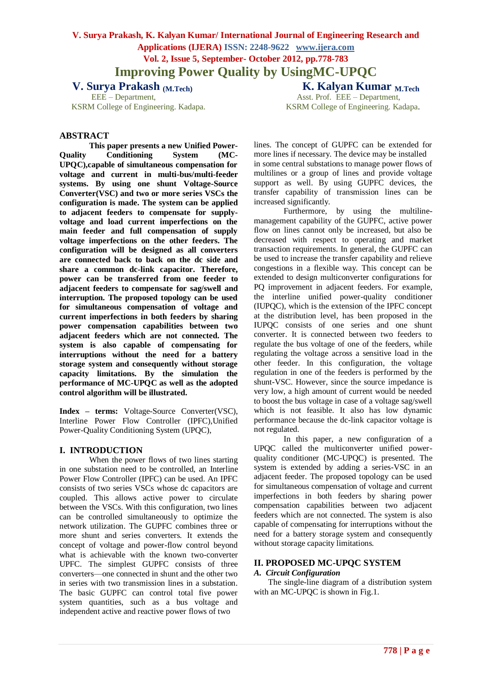# **V. Surya Prakash, K. Kalyan Kumar/ International Journal of Engineering Research and Applications (IJERA) ISSN: 2248-9622 www.ijera.com Vol. 2, Issue 5, September- October 2012, pp.778-783 Improving Power Quality by UsingMC-UPQC V. Surya Prakash (M.Tech)**<br> **K. Kalyan Kumar <b>M.Tech**<br> **Asst. Prof. EEE – Department.**

KSRM College of Engineering. Kadapa. KSRM College of Engineering. Kadapa.

EEE – Department, Asst. Prof. EEE – Department,

### **ABSTRACT**

**This paper presents a new Unified Power-Quality Conditioning System (MC-UPQC),capable of simultaneous compensation for voltage and current in multi-bus/multi-feeder systems. By using one shunt Voltage-Source Converter(VSC) and two or more series VSCs the configuration is made. The system can be applied to adjacent feeders to compensate for supplyvoltage and load current imperfections on the main feeder and full compensation of supply voltage imperfections on the other feeders. The configuration will be designed as all converters are connected back to back on the dc side and share a common dc-link capacitor. Therefore, power can be transferred from one feeder to adjacent feeders to compensate for sag/swell and interruption. The proposed topology can be used for simultaneous compensation of voltage and current imperfections in both feeders by sharing power compensation capabilities between two adjacent feeders which are not connected. The system is also capable of compensating for interruptions without the need for a battery storage system and consequently without storage capacity limitations. By the simulation the performance of MC-UPQC as well as the adopted control algorithm will be illustrated.**

**Index – terms:** Voltage-Source Converter(VSC), Interline Power Flow Controller (IPFC),Unified Power-Quality Conditioning System (UPQC),

### **I. INTRODUCTION**

When the power flows of two lines starting in one substation need to be controlled, an Interline Power Flow Controller (IPFC) can be used. An IPFC consists of two series VSCs whose dc capacitors are coupled. This allows active power to circulate between the VSCs. With this configuration, two lines can be controlled simultaneously to optimize the network utilization. The GUPFC combines three or more shunt and series converters. It extends the concept of voltage and power-flow control beyond what is achievable with the known two-converter UPFC. The simplest GUPFC consists of three converters—one connected in shunt and the other two in series with two transmission lines in a substation. The basic GUPFC can control total five power system quantities, such as a bus voltage and independent active and reactive power flows of two

lines. The concept of GUPFC can be extended for more lines if necessary. The device may be installed in some central substations to manage power flows of multilines or a group of lines and provide voltage support as well. By using GUPFC devices, the transfer capability of transmission lines can be increased significantly.

Furthermore, by using the multilinemanagement capability of the GUPFC, active power flow on lines cannot only be increased, but also be decreased with respect to operating and market transaction requirements. In general, the GUPFC can be used to increase the transfer capability and relieve congestions in a flexible way. This concept can be extended to design multiconverter configurations for PQ improvement in adjacent feeders. For example, the interline unified power-quality conditioner (IUPQC), which is the extension of the IPFC concept at the distribution level, has been proposed in the IUPQC consists of one series and one shunt converter. It is connected between two feeders to regulate the bus voltage of one of the feeders, while regulating the voltage across a sensitive load in the other feeder. In this configuration, the voltage regulation in one of the feeders is performed by the shunt-VSC. However, since the source impedance is very low, a high amount of current would be needed to boost the bus voltage in case of a voltage sag/swell which is not feasible. It also has low dynamic performance because the dc-link capacitor voltage is not regulated.

In this paper, a new configuration of a UPQC called the multiconverter unified powerquality conditioner (MC-UPQC) is presented. The system is extended by adding a series-VSC in an adjacent feeder. The proposed topology can be used for simultaneous compensation of voltage and current imperfections in both feeders by sharing power compensation capabilities between two adjacent feeders which are not connected. The system is also capable of compensating for interruptions without the need for a battery storage system and consequently without storage capacity limitations.

#### **II. PROPOSED MC-UPQC SYSTEM**

### *A. Circuit Configuration*

 The single-line diagram of a distribution system with an MC-UPQC is shown in Fig.1.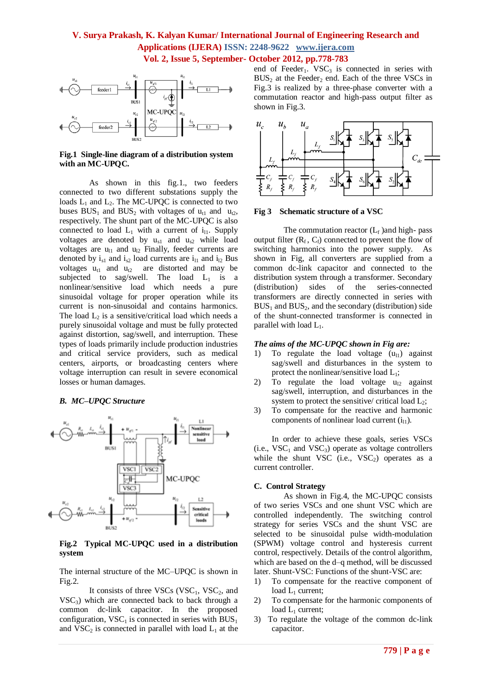

**Fig.1 Single-line diagram of a distribution system with an MC-UPQC.**

As shown in this fig.1., two feeders connected to two different substations supply the loads  $L_1$  and  $L_2$ . The MC-UPQC is connected to two buses  $BUS_1$  and  $BUS_2$  with voltages of  $u_{t1}$  and  $u_{t2}$ , respectively. The shunt part of the MC-UPQC is also connected to load  $L_1$  with a current of  $i_{11}$ . Supply voltages are denoted by  $u_{s1}$  and  $u_{s2}$  while load voltages are  $u_{11}$  and  $u_{12}$  Finally, feeder currents are denoted by  $i_{s1}$  and  $i_{s2}$  load currents are  $i_{11}$  and  $i_{12}$  Bus voltages  $u_{t1}$  and  $u_{t2}$  are distorted and may be subjected to sag/swell. The load  $L_1$  is a nonlinear/sensitive load which needs a pure sinusoidal voltage for proper operation while its current is non-sinusoidal and contains harmonics. The load  $L_2$  is a sensitive/critical load which needs a purely sinusoidal voltage and must be fully protected against distortion, sag/swell, and interruption. These types of loads primarily include production industries and critical service providers, such as medical centers, airports, or broadcasting centers where voltage interruption can result in severe economical losses or human damages.

#### *B. MC–UPQC Structure*



#### **Fig.2 Typical MC-UPQC used in a distribution system**

The internal structure of the MC–UPQC is shown in Fig.2.

It consists of three VSCs  $(VSC<sub>1</sub>, VSC<sub>2</sub>,$  and  $VSC<sub>3</sub>$ ) which are connected back to back through a common dc-link capacitor. In the proposed configuration,  $VSC_1$  is connected in series with  $BUS_1$ and  $VSC<sub>2</sub>$  is connected in parallel with load  $L<sub>1</sub>$  at the end of Feeder<sub>1</sub>. VSC<sub>3</sub> is connected in series with  $BUS<sub>2</sub>$  at the Feeder<sub>2</sub> end. Each of the three VSCs in Fig.3 is realized by a three-phase converter with a commutation reactor and high-pass output filter as shown in Fig.3.



**Fig 3 Schematic structure of a VSC**

The commutation reactor  $(L_f)$  and high-pass output filter  $(R_f, C_f)$  connected to prevent the flow of switching harmonics into the power supply. As shown in Fig, all converters are supplied from a common dc-link capacitor and connected to the distribution system through a transformer. Secondary (distribution) sides of the series-connected transformers are directly connected in series with  $BUS_1$  and  $BUS_2$ , and the secondary (distribution) side of the shunt-connected transformer is connected in parallel with load  $L_1$ .

#### *The aims of the MC-UPQC shown in Fig are:*

- 1) To regulate the load voltage  $(u_{11})$  against sag/swell and disturbances in the system to protect the nonlinear/sensitive load  $L_1$ ;
- 2) To regulate the load voltage  $u_{12}$  against sag/swell, interruption, and disturbances in the system to protect the sensitive/ critical load  $L_2$ ;
- 3) To compensate for the reactive and harmonic components of nonlinear load current  $(i_{11})$ .

In order to achieve these goals, series VSCs (i.e.,  $VSC_1$  and  $VSC_3$ ) operate as voltage controllers while the shunt VSC  $(i.e., VSC<sub>2</sub>)$  operates as a current controller.

#### **C. Control Strategy**

As shown in Fig.4, the MC-UPQC consists of two series VSCs and one shunt VSC which are controlled independently. The switching control strategy for series VSCs and the shunt VSC are selected to be sinusoidal pulse width-modulation (SPWM) voltage control and hysteresis current control, respectively. Details of the control algorithm, which are based on the d–q method, will be discussed later. Shunt-VSC: Functions of the shunt-VSC are:

- 1) To compensate for the reactive component of load  $L_1$  current;
- 2) To compensate for the harmonic components of load L<sub>1</sub> current;
- 3) To regulate the voltage of the common dc-link capacitor.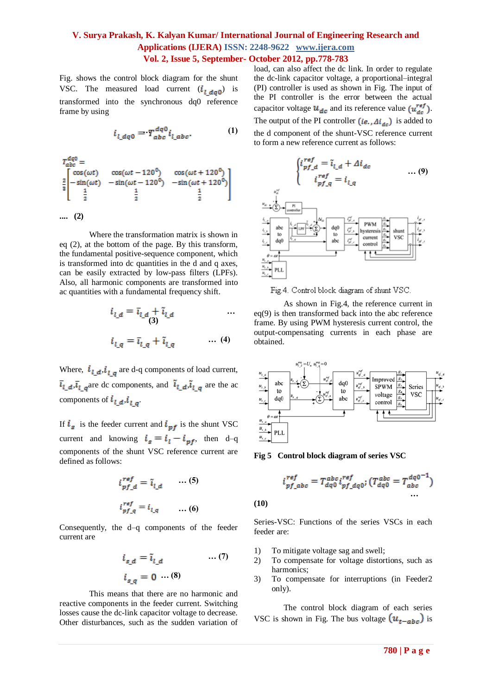Fig. shows the control block diagram for the shunt VSC. The measured load current  $(i_{l\_dq0})$  is transformed into the synchronous dq0 reference frame by using

$$
i_{l\_dq0} = T_{abc}^{dq0} i_{l\_abc}.\tag{1}
$$

$$
T_{abc}^{dq0} =
$$
\n
$$
\frac{2}{3} \begin{bmatrix}\n\cos(\omega t) & \cos(\omega t - 120^0) & \cos(\omega t + 120^0) \\
-\sin(\omega t) & -\sin(\omega t - 120^0) & -\sin(\omega t + 120^0) \\
\frac{1}{2} & \frac{1}{2} & \frac{1}{2}\n\end{bmatrix}
$$
\n  
\n.... (2)

Where the transformation matrix is shown in eq (2), at the bottom of the page. By this transform, the fundamental positive-sequence component, which is transformed into dc quantities in the d and q axes, can be easily extracted by low-pass filters (LPFs). Also, all harmonic components are transformed into ac quantities with a fundamental frequency shift.

$$
i_{l_d} = \overline{i}_{l_d} + \widetilde{i}_{l_d}
$$
 ...  

$$
i_{l_d} = \overline{i}_{l_d} + \widetilde{i}_{l_d}
$$
 ... (4)

Where,  $i_{l_d}$ ,  $i_{l_d}$  are d-q components of load current,  $\overline{i}_{l\_d}, \overline{i}_{l\_q}$  are dc components, and  $\overline{i}_{l\_d}, \overline{i}_{l\_q}$  are the ac components of  $i_{1,d}$ ,  $i_{1,d}$ .

If  $i_s$  is the feeder current and  $i_{pf}$  is the shunt VSC current and knowing  $i_s = i_l - i_{pf}$ , then d–q components of the shunt VSC reference current are defined as follows:

$$
i_{pf\_d}^{ref} = \tilde{i}_{l\_d} \qquad \dots (5)
$$
  

$$
i_{pf\_q}^{ref} = i_{l\_q} \qquad \dots (6)
$$

Consequently, the d–q components of the feeder current are

$$
i_{s_d} = \tilde{i}_{l_d} \qquad \qquad \dots (7)
$$

$$
i_{s_d} = 0 \quad \dots (8)
$$

This means that there are no harmonic and reactive components in the feeder current. Switching losses cause the dc-link capacitor voltage to decrease. Other disturbances, such as the sudden variation of load, can also affect the dc link. In order to regulate the dc-link capacitor voltage, a proportional–integral (PI) controller is used as shown in Fig. The input of the PI controller is the error between the actual capacitor voltage  $u_{dc}$  and its reference value  $(u_{dc}^{ref})$ . The output of the PI controller  $(ie, \Delta i_{dc})$  is added to the d component of the shunt-VSC reference current to form a new reference current as follows:



Fig.4. Control block diagram of shunt VSC

As shown in Fig.4, the reference current in eq(9) is then transformed back into the abc reference frame. By using PWM hysteresis current control, the output-compensating currents in each phase are obtained.



**Fig 5 Control block diagram of series VSC**

$$
i_{pf\_abc}^{ref} = T_{dq0}^{abc} i_{pf\_dq0}^{ref}; (T_{dq0}^{abc} = T_{abc}^{dq0^{-1}})
$$
  
(10)

Series-VSC: Functions of the series VSCs in each feeder are:

1) To mitigate voltage sag and swell;

**(10)** 

- 2) To compensate for voltage distortions, such as harmonics;
- 3) To compensate for interruptions (in Feeder2 only).

The control block diagram of each series VSC is shown in Fig. The bus voltage  $(u_{t-abc})$  is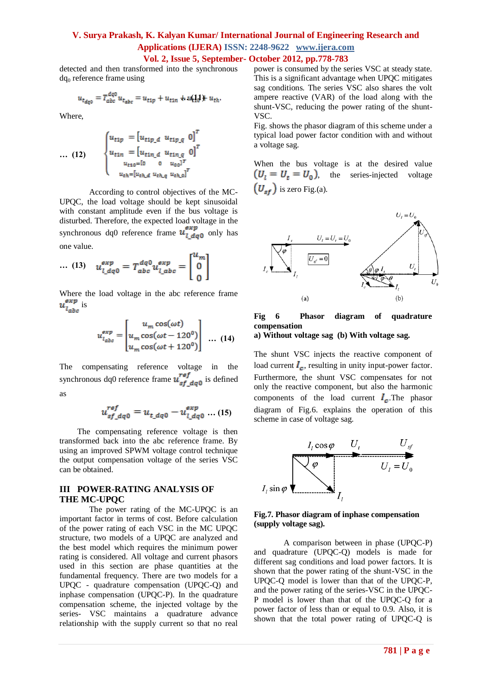detected and then transformed into the synchronous  $dq_0$  reference frame using

$$
u_{t_{dq0}} = T_{abc}^{dq0} u_{t_{abc}} = u_{t1p} + u_{t1n} + u_{t1p} + u_{th}
$$

Where,

$$
\dots (12) \quad \begin{cases} u_{\text{tip}} = [u_{\text{tip}_d} \ u_{\text{tip}_q} \ 0]^T \\ u_{\text{tin}} = [u_{\text{tin}_d} \ u_{\text{tin}_q} \ 0]^T \\ u_{\text{tio}} = [0 \ 0 \ u_{\text{no}}]^T \\ u_{\text{th}} = [u_{\text{th}_d} \ u_{\text{th}_q} \ u_{\text{th}_q} ]^T \end{cases}
$$

According to control objectives of the MC-UPQC, the load voltage should be kept sinusoidal with constant amplitude even if the bus voltage is disturbed. Therefore, the expected load voltage in the synchronous dq0 reference frame  $u_{1_dq_0}^{exp}$  only has one value.

$$
\dots (13) \quad u_{l\_dq0}^{exp} = T_{abc}^{dq0} u_{l\_abc}^{exp} = \begin{bmatrix} u_m \\ 0 \\ 0 \end{bmatrix}
$$

Where the load voltage in the abc reference frame  $u_{l_{abc}}^{exp}$  is

$$
u_{l_{abc}}^{exp} = \begin{bmatrix} u_m \cos(\omega t) \\ u_m \cos(\omega t - 120^\circ) \\ u_m \cos(\omega t + 120^\circ) \end{bmatrix} \dots (14)
$$

The compensating reference voltage in the synchronous dq0 reference frame  $u_{sf-dq0}^{ref}$  is defined as

$$
u^{ref}_{sf\_dq0}=u_{t\_dq0}-u^{exp}_{l\_dq0}\dots (15)
$$

The compensating reference voltage is then transformed back into the abc reference frame. By using an improved SPWM voltage control technique the output compensation voltage of the series VSC can be obtained.

### **III POWER-RATING ANALYSIS OF THE MC-UPQC**

The power rating of the MC-UPQC is an important factor in terms of cost. Before calculation of the power rating of each VSC in the MC UPQC structure, two models of a UPQC are analyzed and the best model which requires the minimum power rating is considered. All voltage and current phasors used in this section are phase quantities at the fundamental frequency. There are two models for a UPQC - quadrature compensation (UPQC-Q) and inphase compensation (UPQC-P). In the quadrature compensation scheme, the injected voltage by the series- VSC maintains a quadrature advance relationship with the supply current so that no real

power is consumed by the series VSC at steady state. This is a significant advantage when UPQC mitigates sag conditions. The series VSC also shares the volt ampere reactive (VAR) of the load along with the shunt-VSC, reducing the power rating of the shunt-VSC.

Fig. shows the phasor diagram of this scheme under a typical load power factor condition with and without a voltage sag.

When the bus voltage is at the desired value  $(U_t = U_t = U_0)$ , the series-injected voltage  $(U_{sf})$  is zero Fig.(a).



### **Fig 6 Phasor diagram of quadrature compensation**

**a) Without voltage sag (b) With voltage sag.**

The shunt VSC injects the reactive component of load current  $I_c$ , resulting in unity input-power factor. Furthermore, the shunt VSC compensates for not only the reactive component, but also the harmonic components of the load current  $I_{\rm c}$ . The phasor diagram of Fig.6. explains the operation of this scheme in case of voltage sag.



#### **Fig.7. Phasor diagram of inphase compensation (supply voltage sag).**

A comparison between in phase (UPQC-P) and quadrature (UPQC-Q) models is made for different sag conditions and load power factors. It is shown that the power rating of the shunt-VSC in the UPQC-Q model is lower than that of the UPQC-P, and the power rating of the series-VSC in the UPQC-P model is lower than that of the UPQC-Q for a power factor of less than or equal to 0.9. Also, it is shown that the total power rating of UPQC-Q is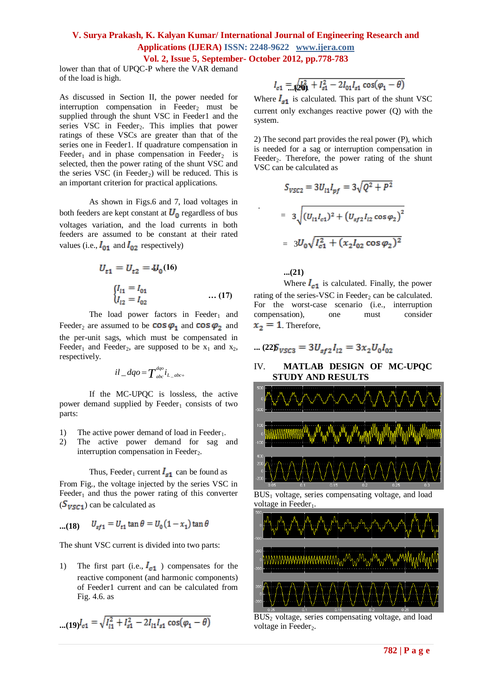.

lower than that of UPQC-P where the VAR demand of the load is high.

As discussed in Section II, the power needed for interruption compensation in Feeder<sub>2</sub> must be supplied through the shunt VSC in Feeder1 and the series VSC in Feeder<sub>2</sub>. This implies that power ratings of these VSCs are greater than that of the series one in Feeder1. If quadrature compensation in Feeder<sub>1</sub> and in phase compensation in Feeder<sub>2</sub> is selected, then the power rating of the shunt VSC and the series VSC (in Feeder<sub>2</sub>) will be reduced. This is an important criterion for practical applications.

As shown in Figs.6 and 7, load voltages in both feeders are kept constant at  $U_0$  regardless of bus voltages variation, and the load currents in both feeders are assumed to be constant at their rated values (i.e.,  $I_{01}$  and  $I_{02}$  respectively)

$$
U_{t1} = U_{t2} = U_0(16)
$$
  
\n
$$
\begin{cases}\nI_{11} = I_{01} \\
I_{12} = I_{02}\n\end{cases}
$$
 ... (17)

The load power factors in Feeder<sub>1</sub> and Feeder<sub>2</sub> are assumed to be  $\cos \varphi_1$  and  $\cos \varphi_2$  and the per-unit sags, which must be compensated in Feeder<sub>1</sub> and Feeder<sub>2</sub>, are supposed to be  $x_1$  and  $x_2$ , respectively.

$$
il\_dqo = T_{abc}^{dqo}i_{L\_abc+}
$$

If the MC-UPQC is lossless, the active power demand supplied by  $Feeder_1$  consists of two parts:

- 1) The active power demand of load in Feeder<sub>1</sub>.
- 2) The active power demand for sag and interruption compensation in Feeder $_2$ .

Thus, Feeder<sub>1</sub> current  $I_{s1}$  can be found as From Fig., the voltage injected by the series VSC in Feeder<sub>1</sub> and thus the power rating of this converter  $(S_{\nu \mathcal{S} C1})$  can be calculated as

...(18) 
$$
U_{s f 1} = U_{t 1} \tan \theta = U_0 (1 - x_1) \tan \theta
$$

The shunt VSC current is divided into two parts:

1) The first part (i.e.,  $I_{c1}$ ) compensates for the reactive component (and harmonic components) of Feeder1 current and can be calculated from Fig. 4.6. as

$$
...(19)^{l_{c1}} = \sqrt{I_{l1}^{2} + I_{s1}^{2} - 2I_{l1}I_{s1}\cos(\varphi_{1} - \theta)}
$$

$$
I_{c1} = \sqrt{20} + I_{s1}^2 - 2I_{01}I_{s1}\cos(\varphi_1 - \theta)
$$

Where  $I_{s1}$  is calculated. This part of the shunt VSC current only exchanges reactive power (Q) with the system.

2) The second part provides the real power (P), which is needed for a sag or interruption compensation in Feeder<sub>2</sub>. Therefore, the power rating of the shunt VSC can be calculated as

$$
S_{VSC2} = 3U_{l1}I_{pf} = 3\sqrt{Q^2 + P^2}
$$

$$
= 3\sqrt{(U_{l1}I_{c1})^2 + (U_{sf2}I_{l2}\cos\varphi_2)^2}
$$

$$
= 3U_0\sqrt{I_{c1}^2 + (x_2I_{02}\cos\varphi_2)^2}
$$

**...(21)**

Where  $I_{c1}$  is calculated. Finally, the power rating of the series-VSC in Feeder<sub>2</sub> can be calculated. For the worst-case scenario (i.e., interruption compensation), one must consider  $x_2 = 1$ . Therefore,

$$
\dots (22S_{VSC3} = 3U_{sf2}I_{l2} = 3x_2U_0I_{02}
$$

### IV. **MATLAB DESIGN OF MC-UPQC STUDY AND RESULTS**



 $BUS<sub>1</sub>$  voltage, series compensating voltage, and load voltage in Feeder<sub>1</sub>.



 $BUS<sub>2</sub>$  voltage, series compensating voltage, and load voltage in Feeder<sub>2</sub>.